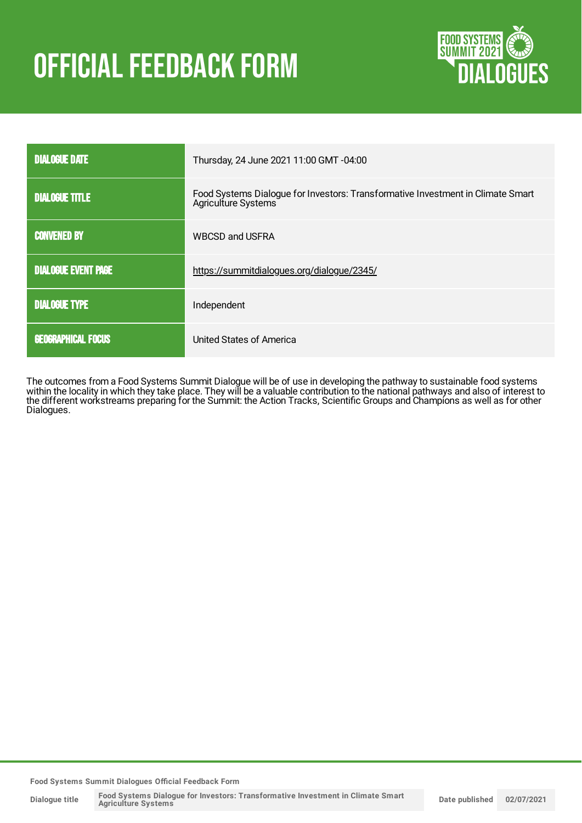# **OFFICIAL FEEDBACK FORM**



| <b>DIALOGUE DATE</b>       | Thursday, 24 June 2021 11:00 GMT -04:00                                                                |
|----------------------------|--------------------------------------------------------------------------------------------------------|
| <b>DIALOGUE TITLE</b>      | Food Systems Dialogue for Investors: Transformative Investment in Climate Smart<br>Agriculture Systems |
| <b>CONVENED BY</b>         | <b>WBCSD and USFRA</b>                                                                                 |
| <b>DIALOGUE EVENT PAGE</b> | https://summitdialogues.org/dialogue/2345/                                                             |
| <b>DIALOGUE TYPE</b>       | Independent                                                                                            |
| <b>GEOGRAPHICAL FOCUS</b>  | United States of America                                                                               |

The outcomes from a Food Systems Summit Dialogue will be of use in developing the pathway to sustainable food systems within the locality in which they take place. They will be a valuable contribution to the national pathways and also of interest to the different workstreams preparing for the Summit: the Action Tracks, Scientific Groups and Champions as well as for other Dialogues.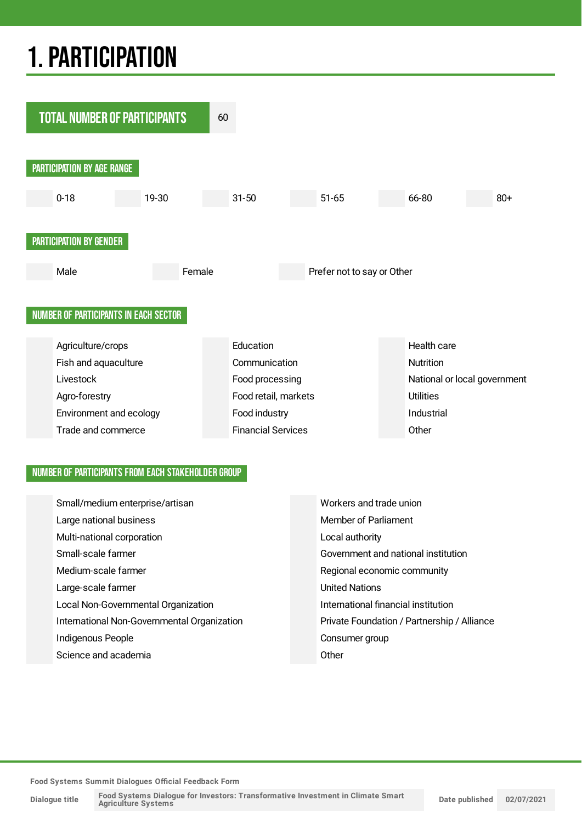## 1.PARTICIPATION



### NUMBER OF PARTICIPANTS FROM EACH STAKEHOLDER GROUP

| Small/medium enterprise/artisan             | Workers and trade union                     |
|---------------------------------------------|---------------------------------------------|
| Large national business                     | Member of Parliament                        |
| Multi-national corporation                  | Local authority                             |
| Small-scale farmer                          | Government and national institution         |
| Medium-scale farmer                         | Regional economic community                 |
| Large-scale farmer                          | <b>United Nations</b>                       |
| Local Non-Governmental Organization         | International financial institution         |
| International Non-Governmental Organization | Private Foundation / Partnership / Alliance |
| Indigenous People                           | Consumer group                              |
| Science and academia                        | Other                                       |

**Food Systems Summit Dialogues Official Feedback Form**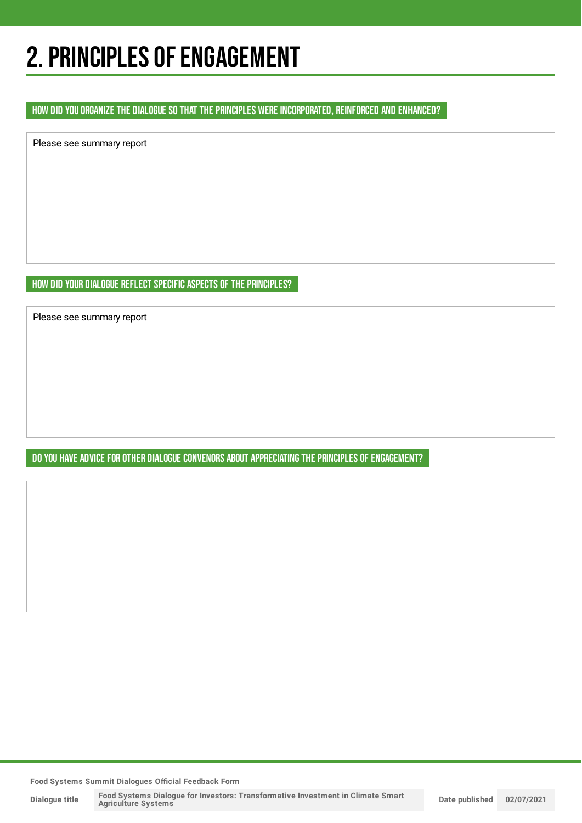## 2. PRINCIPLES OF ENGAGEMENT

### HOW DID YOU ORGANIZE THE DIALOGUE SO THAT THE PRINCIPLES WERE INCORPORATED, REINFORCED AND ENHANCED?

Please see summary report

HOW DID YOUR DIALOGUE REFLECT SPECIFIC ASPECTS OF THE PRINCIPLES?

Please see summary report

DO YOU HAVE ADVICE FOR OTHER DIALOGUE CONVENORS ABOUT APPRECIATING THE PRINCIPLES OF ENGAGEMENT?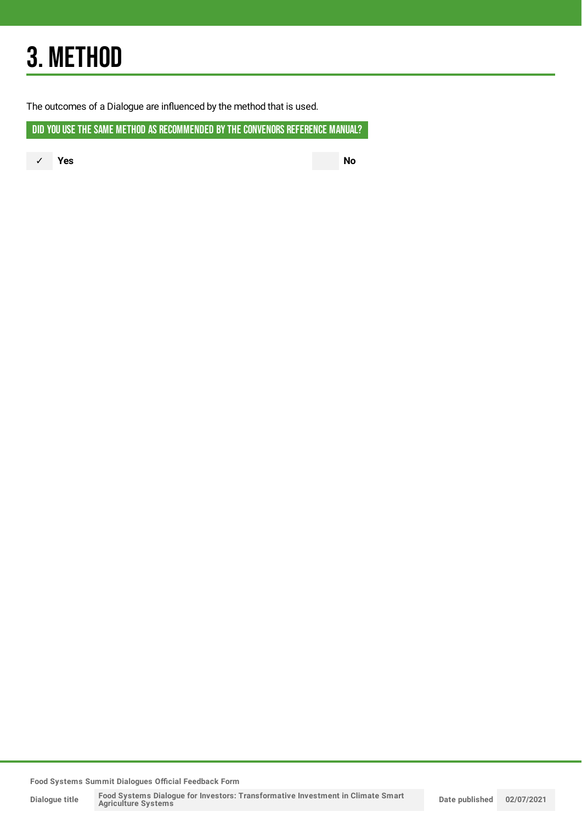## 3. METHOD

The outcomes of a Dialogue are influenced by the method that is used.

DID YOU USE THE SAME METHOD AS RECOMMENDED BY THE CONVENORS REFERENCE MANUAL?

✓ **Yes No**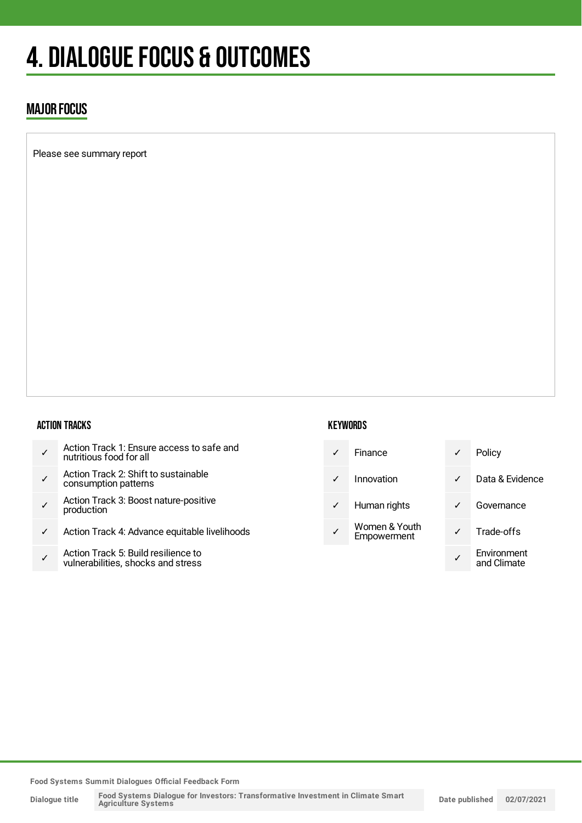## 4. DIALOGUE FOCUS & OUTCOMES

## MAJOR FOCUS

Please see summary report

### ACTION TRACKS

- ✓ Action Track 1: Ensure access to safe and nutritious food for all
- ✓ Action Track 2: Shift to sustainable consumption patterns
- ✓ Action Track 3: Boost nature-positive production
- ✓ Action Track 4: Advance equitable livelihoods
- ✓ Action Track 5: Build resilience to vulnerabilities, shocks and stress

#### **KEYWORDS**

| $\checkmark$ | Finance                      |   | P٥ |
|--------------|------------------------------|---|----|
| $\checkmark$ | Innovation                   | ✓ | Di |
| $\checkmark$ | Human rights                 | ✓ | G٥ |
|              | Women & Youth<br>Empowerment |   | Tr |
|              |                              |   | Er |

- olicy ata & Evidence overnance rade-offs **nvironment** 
	- and Climate

**Food Systems Summit Dialogues Official Feedback Form**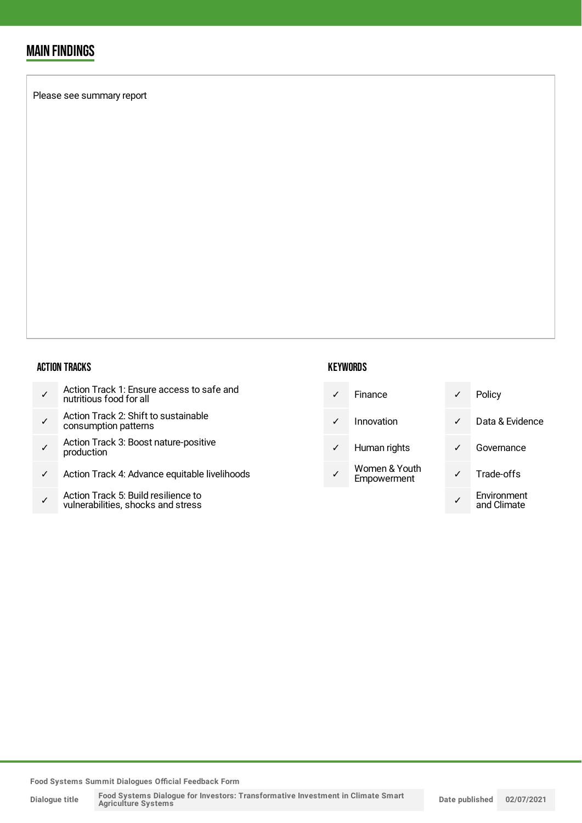## MAIN FINDINGS

Please see summary report

#### ACTION TRACKS

- ✓ Action Track 2: Shift to sustainable consumption patterns
- ✓ Action Track 3: Boost nature-positive production
- ✓ Action Track 4: Advance equitable livelihoods
- ✓ Action Track 5: Build resilience to vulnerabilities, shocks and stress

### **KEYWORDS**

| Finance | Policy |
|---------|--------|
|         |        |

✓ Innovation ✓ Data & Evidence

- ✓ Human rights ✓ Governance
- Women & Youth Empowerment

|   | Policy                     |
|---|----------------------------|
|   | Data & Evidence            |
| ℐ | Governance                 |
| ╱ | Trade-offs                 |
|   | Environment<br>and Climate |

**Food Systems Summit Dialogues Official Feedback Form**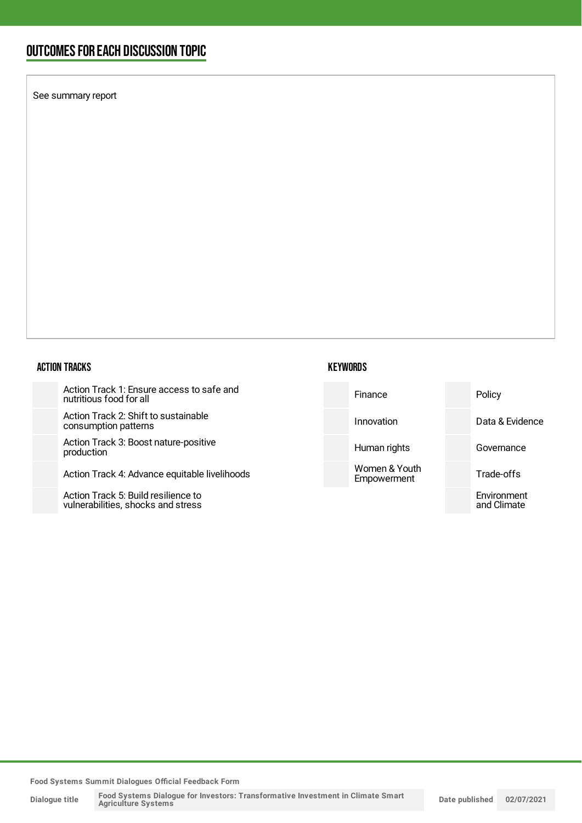## OUTCOMESFOR EACH DISCUSSION TOPIC

See summary report

#### ACTION TRACKS

Action Track 1: Ensure access to safe and nutritious food for all

Action Track 2: Shift to sustainable consumption patterns

Action Track 3: Boost nature-positive production

Action Track 4: Advance equitable livelihoods

Action Track 5: Build resilience to vulnerabilities, shocks and stress

| Finance |  |
|---------|--|

**KEYWORDS** 

Innovation Data & Evidence

Women & Youth Empowerment

Human rights **Governance** 

Policy

Trade-offs

Environment and Climate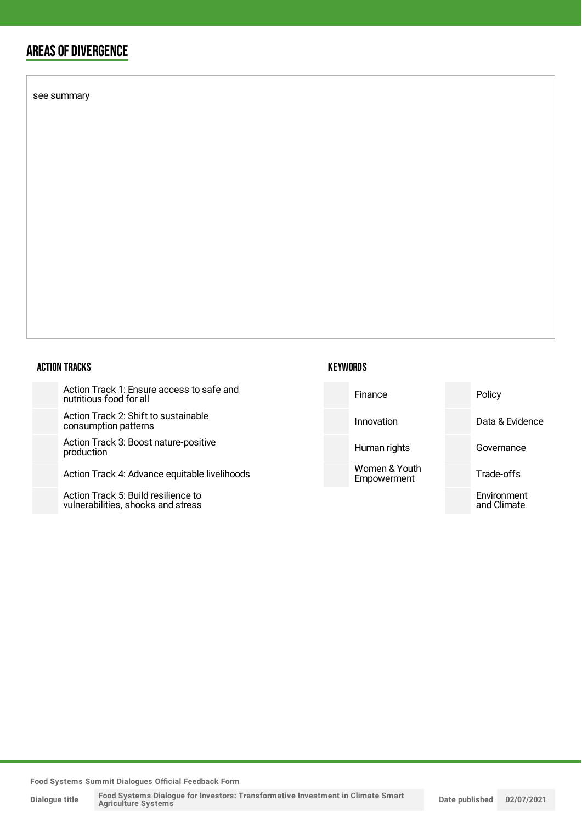## AREAS OF DIVERGENCE

see summary

### ACTION TRACKS

Action Track 1: Ensure access to safe and nutritious food for all

Action Track 2: Shift to sustainable consumption patterns

Action Track 3: Boost nature-positive production

Action Track 4: Advance equitable livel

Action Track 5: Build resilience to vulnerabilities, shocks and stress

### **KEYWORDS**

| and    | Finance                      | Policy                     |
|--------|------------------------------|----------------------------|
|        | Innovation                   | Data & Evidence            |
|        | Human rights                 | Governance                 |
| ihoods | Women & Youth<br>Empowerment | Trade-offs                 |
|        |                              | Environment<br>and Climate |

**Food Systems Summit Dialogues Official Feedback Form**